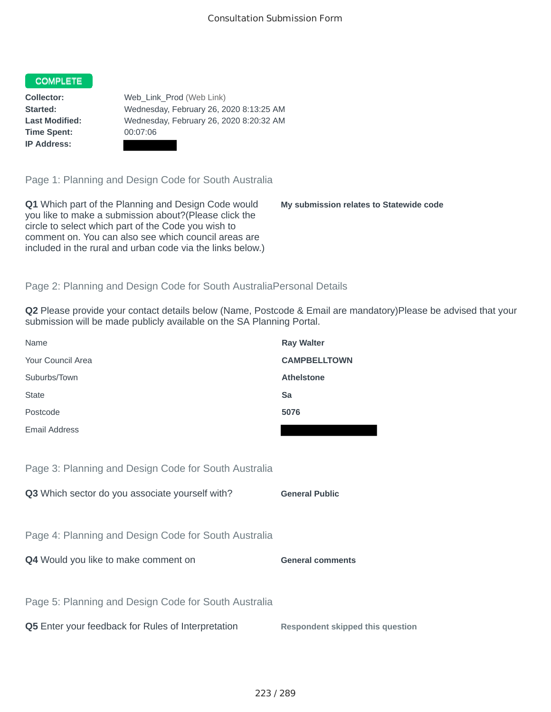## **COMPLETE**

**Time Spent:** 00:07:06 **IP Address:**

**Collector:** Web\_Link\_Prod (Web Link) **Started:** Wednesday, February 26, 2020 8:13:25 AM **Last Modified:** Wednesday, February 26, 2020 8:20:32 AM

Page 1: Planning and Design Code for South Australia

**Q1** Which part of the Planning and Design Code would you like to make a submission about?(Please click the circle to select which part of the Code you wish to comment on. You can also see which council areas are included in the rural and urban code via the links below.)

**My submission relates to Statewide code**

## Page 2: Planning and Design Code for South AustraliaPersonal Details

**Q2** Please provide your contact details below (Name, Postcode & Email are mandatory)Please be advised that your submission will be made publicly available on the SA Planning Portal.

| Name                                                 | <b>Ray Walter</b>   |
|------------------------------------------------------|---------------------|
| Your Council Area                                    | <b>CAMPBELLTOWN</b> |
| Suburbs/Town                                         | <b>Athelstone</b>   |
| <b>State</b>                                         | Sa                  |
| Postcode                                             | 5076                |
| Email Address                                        |                     |
|                                                      |                     |
| Page 3: Planning and Design Code for South Australia |                     |

**Q3** Which sector do you associate yourself with? **General Public** 

Page 4: Planning and Design Code for South Australia

**Q4** Would you like to make comment on **General comments** 

Page 5: Planning and Design Code for South Australia

**Q5** Enter your feedback for Rules of Interpretation **Respondent skipped this question**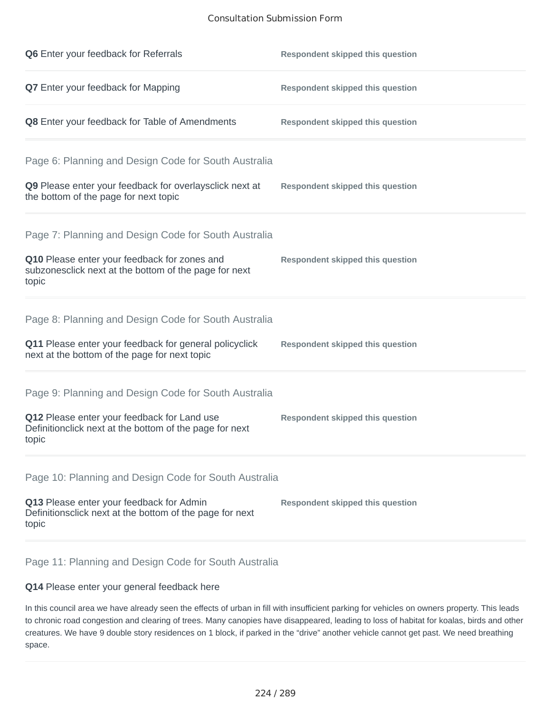## Consultation Submission Form

| Q6 Enter your feedback for Referrals                                                                                                                                    | <b>Respondent skipped this question</b> |
|-------------------------------------------------------------------------------------------------------------------------------------------------------------------------|-----------------------------------------|
| <b>Q7</b> Enter your feedback for Mapping                                                                                                                               | <b>Respondent skipped this question</b> |
| Q8 Enter your feedback for Table of Amendments                                                                                                                          | <b>Respondent skipped this question</b> |
| Page 6: Planning and Design Code for South Australia<br>Q9 Please enter your feedback for overlaysclick next at<br>the bottom of the page for next topic                | <b>Respondent skipped this question</b> |
| Page 7: Planning and Design Code for South Australia<br>Q10 Please enter your feedback for zones and<br>subzonesclick next at the bottom of the page for next<br>topic  | <b>Respondent skipped this question</b> |
| Page 8: Planning and Design Code for South Australia<br>Q11 Please enter your feedback for general policyclick<br>next at the bottom of the page for next topic         | <b>Respondent skipped this question</b> |
| Page 9: Planning and Design Code for South Australia<br>Q12 Please enter your feedback for Land use<br>Definitionclick next at the bottom of the page for next<br>topic | <b>Respondent skipped this question</b> |
| Page 10: Planning and Design Code for South Australia<br>Q13 Please enter your feedback for Admin<br>Definitionsclick next at the bottom of the page for next<br>topic  | <b>Respondent skipped this question</b> |

Page 11: Planning and Design Code for South Australia

## **Q14** Please enter your general feedback here

In this council area we have already seen the effects of urban in fill with insufficient parking for vehicles on owners property. This leads to chronic road congestion and clearing of trees. Many canopies have disappeared, leading to loss of habitat for koalas, birds and other creatures. We have 9 double story residences on 1 block, if parked in the "drive" another vehicle cannot get past. We need breathing space.